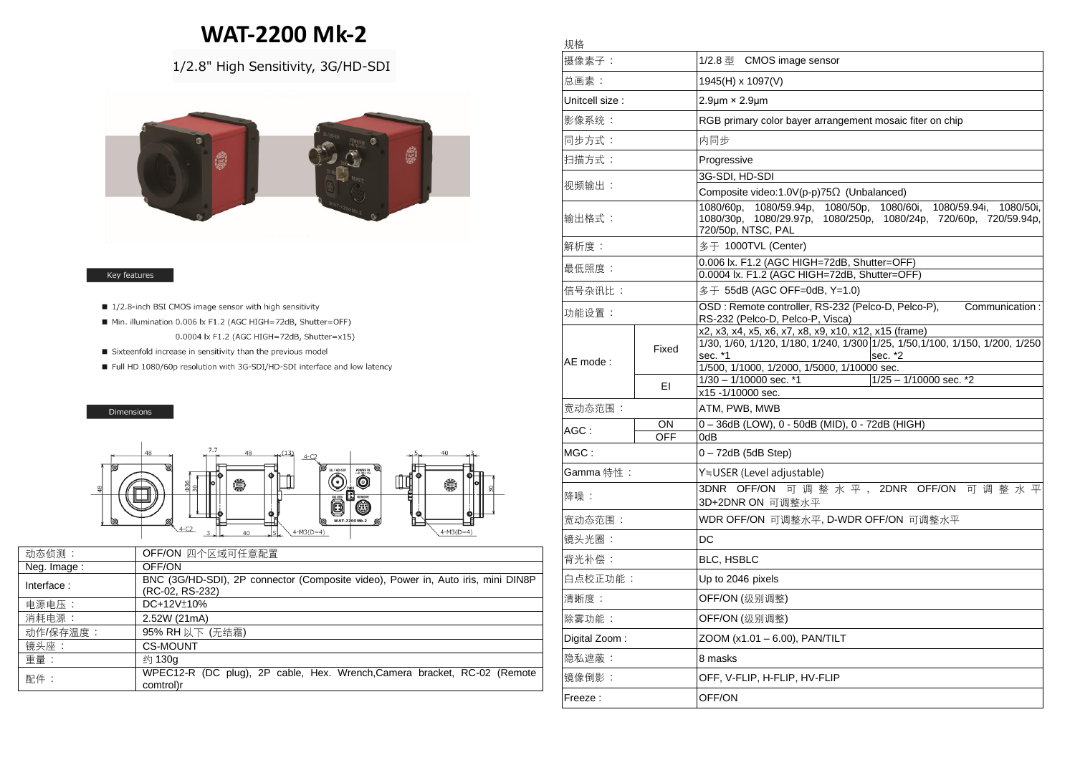## **WAT-2200 Mk-2**

規格

## 1/2.8" High Sensitivity, 3G/HD-SDI



## Key features

- 1/2.8-inch BSI CMOS image sensor with high sensitivity
- Min. illumination 0.006 lx F1.2 (AGC HIGH=72dB, Shutter=OFF) 0.0004 lx F1.2 (AGC HIGH=72dB, Shutter=x15)
- Sixteenfold increase in sensitivity than the previous model
- Full HD 1080/60p resolution with 3G-SDI/HD-SDI interface and low latency

## Dimensions



| 动态侦测:       | OFF/ON 四个区域可任意配置                                                                                    |
|-------------|-----------------------------------------------------------------------------------------------------|
| Neg. Image: | OFF/ON                                                                                              |
| Interface:  | BNC (3G/HD-SDI), 2P connector (Composite video), Power in, Auto iris, mini DIN8P<br>(RC-02, RS-232) |
| 电源电压:       | DC+12V±10%                                                                                          |
| 消耗电源:       | 2.52W (21mA)                                                                                        |
| 动作/保存温度:    | 95% RH 以下 (无结霜)                                                                                     |
| 镜头座:        | <b>CS-MOUNT</b>                                                                                     |
| 重量:         | 约 130g                                                                                              |
| 配件:         | WPEC12-R (DC plug), 2P cable, Hex. Wrench, Camera bracket, RC-02 (Remote<br>comtrol)r               |

| 摄像素子:           |                  | 1/2.8 $\frac{m}{2}$ CMOS image sensor                                                                                                                                   |
|-----------------|------------------|-------------------------------------------------------------------------------------------------------------------------------------------------------------------------|
| 总画素:            |                  | 1945(H) x 1097(V)                                                                                                                                                       |
| Unitcell size : |                  | $2.9 \mu m \times 2.9 \mu m$                                                                                                                                            |
| 影像系统:           |                  | RGB primary color bayer arrangement mosaic fiter on chip                                                                                                                |
| 同步方式:           |                  | 内同步                                                                                                                                                                     |
| 扫描方式:           |                  | Progressive                                                                                                                                                             |
| 视频输出:           |                  | 3g-Sdi, HD-Sdi                                                                                                                                                          |
|                 |                  | Composite video:1.0V(p-p)75Ω (Unbalanced)                                                                                                                               |
| 输出格式:           |                  | 1080/59.94p, 1080/50p, 1080/60i,<br>1080/60p.<br>1080/59.94i,<br>1080/50i,<br>1080/30p,<br>1080/29.97p, 1080/250p, 1080/24p, 720/60p, 720/59.94p,<br>720/50p, NTSC, PAL |
| 解析度:            |                  | 多于 1000TVL (Center)                                                                                                                                                     |
| 最低照度:           |                  | 0.006 lx. F1.2 (AGC HIGH=72dB, Shutter=OFF)<br>0.0004 lx. F1.2 (AGC HIGH=72dB, Shutter=OFF)                                                                             |
| 信号杂讯比:          |                  | 多干 55dB (AGC OFF=0dB, Y=1.0)                                                                                                                                            |
| 功能设置:           |                  | OSD: Remote controller, RS-232 (Pelco-D, Pelco-P), Communication:                                                                                                       |
|                 |                  | RS-232 (Pelco-D, Pelco-P, Visca)<br>x2, x3, x4, x5, x6, x7, x8, x9, x10, x12, x15 (frame)                                                                               |
| AE mode :       | Fixed            | 1/30, 1/60, 1/120, 1/180, 1/240, 1/300 1/25, 1/50, 1/100, 1/150, 1/200, 1/250<br>sec. *1<br>sec. *2<br>1/500, 1/1000, 1/2000, 1/5000, 1/10000 sec.                      |
|                 | EI               | $1/25 - 1/10000$ sec. *2<br>1/30 - 1/10000 sec. *1                                                                                                                      |
|                 |                  | x15 -1/10000 sec.                                                                                                                                                       |
| 宽动态范围:          |                  | ATM, PWB, MWB                                                                                                                                                           |
| AGC :           | ON<br><b>OFF</b> | 0-36dB (LOW), 0 - 50dB (MID), 0 - 72dB (HIGH)<br>0dB                                                                                                                    |
| MGC:            |                  | 0-72dB (5dB Step)                                                                                                                                                       |
| Gamma 特性 :      |                  | Y≒USER (Level adjustable)                                                                                                                                               |
| 降噪:             |                  | 3DNR OFF/ON 可调整水平, 2DNR OFF/ON 可调整水平<br>3D+2DNR ON 可调整水平                                                                                                                |
| 宽动态范围:          |                  | WDR OFF/ON 可调整水平, D-WDR OFF/ON 可调整水平                                                                                                                                    |
| 镜头光圈:           |                  | DC                                                                                                                                                                      |
| 背光补偿:           |                  | <b>BLC, HSBLC</b>                                                                                                                                                       |
| 白点校正功能:         |                  | Up to 2046 pixels                                                                                                                                                       |
| 清晰度:            |                  | OFF/ON (级别调整)                                                                                                                                                           |
| 除雾功能:           |                  | OFF/ON (级别调整)                                                                                                                                                           |
| Digital Zoom:   |                  | ZOOM (x1.01 – 6.00), PAN/TILT                                                                                                                                           |
| 隐私遮蔽:           |                  | 8 masks                                                                                                                                                                 |
| 镜像倒影:           |                  | OFF, V-FLIP, H-FLIP, HV-FLIP                                                                                                                                            |
| Freeze :        |                  | OFF/ON                                                                                                                                                                  |